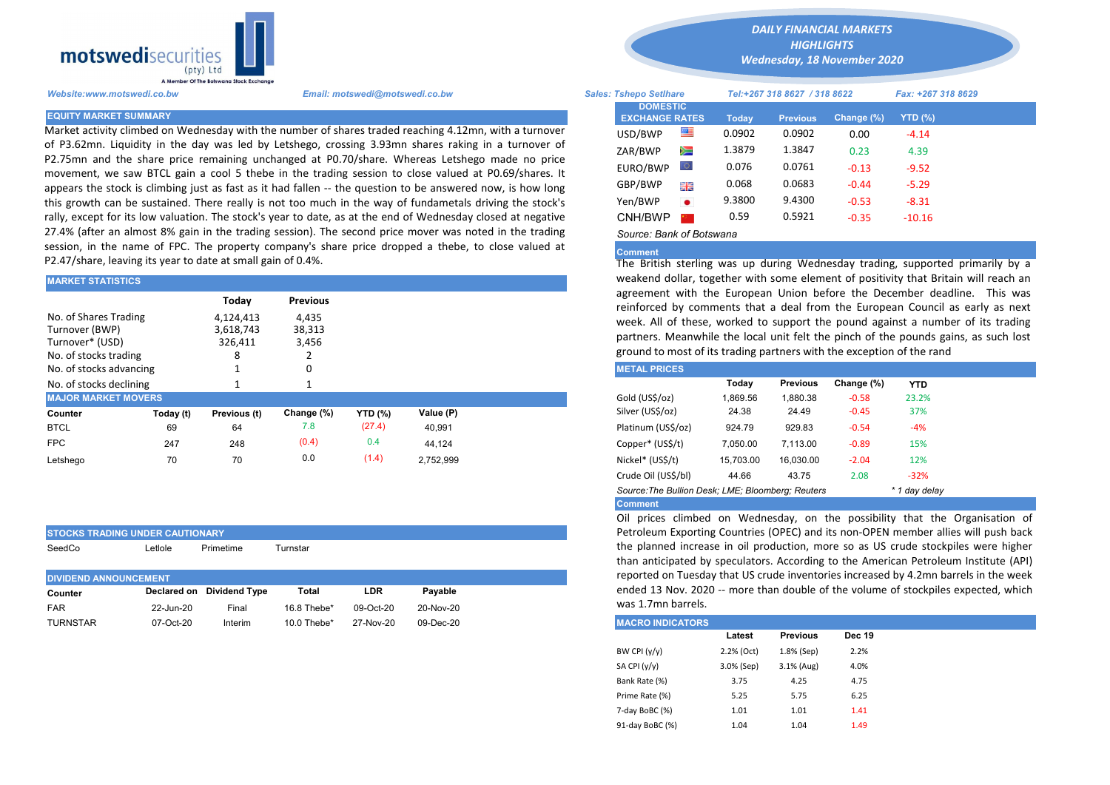

Market activity climbed on Wednesday with the number of shares traded reaching 4.12mn, with a turnover of P3.62mn. Liquidity in the day was led by Letshego, crossing 3.93mn shares raking in a turnover of P2.75mn and the share price remaining unchanged at P0.70/share. Whereas Letshego made no price movement, we saw BTCL gain a cool 5 thebe in the trading session to close valued at P0.69/shares. It appears the stock is climbing just as fast as it had fallen -- the question to be answered now, is how long this growth can be sustained. There really is not too much in the way of fundametals driving the stock's rally, except for its low valuation. The stock's year to date, as at the end of Wednesday closed at negative 27.4% (after an almost 8% gain in the trading session). The second price mover was noted in the trading session, in the name of FPC. The property company's share price dropped a thebe, to close valued at P2.47/share, leaving its year to date at small gain of 0.4%.

| <b>MARKET STATISTICS</b>                                                            |           |                                                 |                                             |                | weakend dollar, together with some element of positivity that Brita |                                                                                                                                                                                                                                                                                                                                             |                                                      |           |         |       |  |  |
|-------------------------------------------------------------------------------------|-----------|-------------------------------------------------|---------------------------------------------|----------------|---------------------------------------------------------------------|---------------------------------------------------------------------------------------------------------------------------------------------------------------------------------------------------------------------------------------------------------------------------------------------------------------------------------------------|------------------------------------------------------|-----------|---------|-------|--|--|
| No. of Shares Trading<br>Turnover (BWP)<br>Turnover* (USD)<br>No. of stocks trading |           | Today<br>4,124,413<br>3,618,743<br>326,411<br>8 | <b>Previous</b><br>4,435<br>38,313<br>3,456 |                |                                                                     | agreement with the European Union before the December dead<br>reinforced by comments that a deal from the European Council<br>week. All of these, worked to support the pound against a numb<br>partners. Meanwhile the local unit felt the pinch of the pounds ga<br>ground to most of its trading partners with the exception of the rand |                                                      |           |         |       |  |  |
| No. of stocks advancing                                                             |           |                                                 |                                             |                |                                                                     | <b>METAL PRICES</b>                                                                                                                                                                                                                                                                                                                         |                                                      |           |         |       |  |  |
| No. of stocks declining                                                             |           |                                                 |                                             |                |                                                                     |                                                                                                                                                                                                                                                                                                                                             | Change (%)<br>Today<br><b>Previous</b><br><b>YTD</b> |           |         |       |  |  |
| <b>MAJOR MARKET MOVERS</b>                                                          |           |                                                 |                                             |                |                                                                     | Gold (US\$/oz)                                                                                                                                                                                                                                                                                                                              | 1,869.56                                             | 1,880.38  | $-0.58$ | 23.2% |  |  |
| Counter                                                                             | Today (t) | Previous (t)                                    | Change (%)                                  | <b>YTD (%)</b> | Value (P)                                                           | Silver (US\$/oz)                                                                                                                                                                                                                                                                                                                            | 24.38                                                | 24.49     | $-0.45$ | 37%   |  |  |
| <b>BTCL</b>                                                                         | 69        | 64                                              | 7.8                                         | (27.4)         | 40,991                                                              | Platinum (US\$/oz)                                                                                                                                                                                                                                                                                                                          | 924.79                                               | 929.83    | $-0.54$ | $-4%$ |  |  |
| <b>FPC</b>                                                                          | 247       | 248                                             | (0.4)                                       | 0.4            | 44,124                                                              | Copper* (US\$/t)                                                                                                                                                                                                                                                                                                                            | 7,050.00                                             | 7,113.00  | $-0.89$ | 15%   |  |  |
| Letshego                                                                            | 70        | 70                                              | 0.0                                         | (1.4)          | 2,752,999                                                           | Nickel* (US\$/t)                                                                                                                                                                                                                                                                                                                            | 15,703.00                                            | 16,030.00 | $-2.04$ | 12%   |  |  |
|                                                                                     |           |                                                 |                                             |                |                                                                     | .                                                                                                                                                                                                                                                                                                                                           |                                                      |           |         |       |  |  |

| <b>ISTOCKS TRADING UNDER CAUTIONARY</b> |            |                           |               |              |           |
|-----------------------------------------|------------|---------------------------|---------------|--------------|-----------|
| SeedCo                                  | Letlole    | Primetime                 | Turnstar      |              |           |
|                                         |            |                           |               |              |           |
| <b>DIVIDEND ANNOUNCEMENT</b>            |            |                           |               |              |           |
| Counter                                 |            | Declared on Dividend Type | Total         | LDR          | Pavable   |
| <b>FAR</b>                              | 22-Jun-20  | Final                     | $16.8$ Thebe* | $09$ -Oct-20 | 20-Nov-20 |
| __ _ . _                                | -- - - - - | .                         |               | -- - - - -   | ----      |

*DAILY FINANCIAL MARKETS*

*HIGHLIGHTS Wednesday, 18 November 2020* 

| A Member Of the Boiswand Slock Exchange |                                                                                                                                                                                                       |                                          |           |                              |                 |                    |           |  |
|-----------------------------------------|-------------------------------------------------------------------------------------------------------------------------------------------------------------------------------------------------------|------------------------------------------|-----------|------------------------------|-----------------|--------------------|-----------|--|
| Website:www.motswedi.co.bw              | Email: motswedi@motswedi.co.bw                                                                                                                                                                        | <b>Sales: Tshepo Setlhare</b>            |           | Tel:+267 318 8627 / 318 8622 |                 | Fax: +267 318 8629 |           |  |
| <b>EQUITY MARKET SUMMARY</b>            |                                                                                                                                                                                                       | <b>DOMESTIC</b><br><b>EXCHANGE RATES</b> |           | Today                        | <b>Previous</b> | Change (%)         | $YTD(\%)$ |  |
|                                         | Market activity climbed on Wednesday with the number of shares traded reaching 4.12mn, with a turnover                                                                                                | USD/BWP                                  | 쪽         | 0.0902                       | 0.0902          | 0.00               | $-4.14$   |  |
|                                         | of P3.62mn. Liquidity in the day was led by Letshego, crossing 3.93mn shares raking in a turnover of<br>2.75mn and the share price remaining unchanged at P0.70/share. Whereas Letshego made no price | ZAR/BWP                                  | Ň         | 1.3879                       | 1.3847          | 0.23               | 4.39      |  |
|                                         | movement, we saw BTCL gain a cool 5 thebe in the trading session to close valued at P0.69/shares. It                                                                                                  | EURO/BWP                                 | w         | 0.076                        | 0.0761          | $-0.13$            | $-9.52$   |  |
|                                         | appears the stock is climbing just as fast as it had fallen -- the question to be answered now, is how long                                                                                           | GBP/BWP                                  | 開票        | 0.068                        | 0.0683          | $-0.44$            | $-5.29$   |  |
|                                         | his growth can be sustained. There really is not too much in the way of fundametals driving the stock's                                                                                               | Yen/BWP                                  | $\bullet$ | 9.3800                       | 9.4300          | $-0.53$            | $-8.31$   |  |
|                                         | ally, except for its low valuation. The stock's year to date, as at the end of Wednesday closed at negative                                                                                           | CNH/BWP                                  |           | 0.59                         | 0.5921          | $-0.35$            | $-10.16$  |  |
|                                         | 27.4% (after an almost 8% gain in the trading session). The second price mover was noted in the trading                                                                                               | Source: Bank of Botswana                 |           |                              |                 |                    |           |  |

## Comment

The British sterling was up during Wednesday trading, supported primarily by a weakend dollar, together with some element of positivity that Britain will reach an agreement with the European Union before the December deadline. This was reinforced by comments that a deal from the European Council as early as next week. All of these, worked to support the pound against a number of its trading partners. Meanwhile the local unit felt the pinch of the pounds gains, as such lost ground to most of its trading partners with the exception of the rand

| <b>METAL PRICES</b>                               |           |                 |            |               |
|---------------------------------------------------|-----------|-----------------|------------|---------------|
|                                                   | Today     | <b>Previous</b> | Change (%) | <b>YTD</b>    |
| Gold (US\$/oz)                                    | 1.869.56  | 1.880.38        | $-0.58$    | 23.2%         |
| Silver (US\$/oz)                                  | 24.38     | 24.49           | $-0.45$    | 37%           |
| Platinum (US\$/oz)                                | 924.79    | 929.83          | $-0.54$    | $-4%$         |
| Copper* (US\$/t)                                  | 7.050.00  | 7.113.00        | $-0.89$    | 15%           |
| Nickel* (US\$/t)                                  | 15.703.00 | 16.030.00       | $-2.04$    | 12%           |
| Crude Oil (US\$/bl)                               | 44.66     | 43.75           | 2.08       | $-32%$        |
| Source: The Bullion Desk: LME: Bloomberg: Reuters |           |                 |            | * 1 day delay |
| <b>Comment</b>                                    |           |                 |            |               |

Oil prices climbed on Wednesday, on the possibility that the Organisation of Petroleum Exporting Countries (OPEC) and its non-OPEN member allies will push back the planned increase in oil production, more so as US crude stockpiles were higher than anticipated by speculators. According to the American Petroleum Institute (API) reported on Tuesday that US crude inventories increased by 4.2mn barrels in the week ended 13 Nov. 2020 -- more than double of the volume of stockpiles expected, which was 1.7mn barrels.

| TURNSTAR | 07-Oct-20 | Interim | 10.0 Thebe* | 27-Nov-20 | 09-Dec-20 | <b>MACRO INDICATORS</b> |            |                 |               |
|----------|-----------|---------|-------------|-----------|-----------|-------------------------|------------|-----------------|---------------|
|          |           |         |             |           |           |                         | Latest     | <b>Previous</b> | <b>Dec 19</b> |
|          |           |         |             |           |           | BW CPI (y/y)            | 2.2% (Oct) | 1.8% (Sep)      | 2.2%          |
|          |           |         |             |           |           | SA CPI (y/y)            | 3.0% (Sep) | 3.1% (Aug)      | 4.0%          |
|          |           |         |             |           |           | Bank Rate (%)           | 3.75       | 4.25            | 4.75          |
|          |           |         |             |           |           | Prime Rate (%)          | 5.25       | 5.75            | 6.25          |
|          |           |         |             |           |           | 7-day BoBC (%)          | 1.01       | 1.01            | 1.41          |
|          |           |         |             |           |           | 91-day BoBC (%)         | 1.04       | 1.04            | 1.49          |